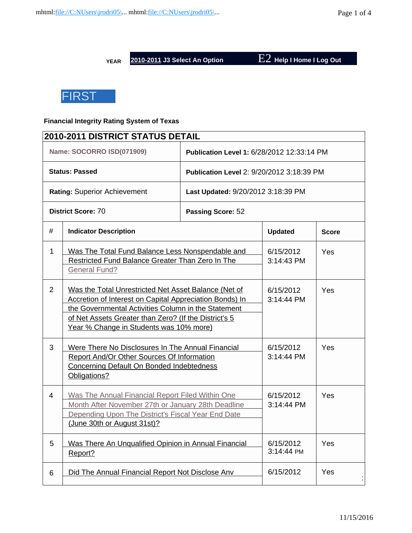**YEAR 2010-2011 J3 Select An Option** E2 **Help I Home I Log Out**

**FIRST** 

## **Financial Integrity Rating System of Texas**

| <b>2010-2011 DISTRICT STATUS DETAIL</b> |                                                                                                                                                                                                                                                                            |                                                  |                |              |  |  |
|-----------------------------------------|----------------------------------------------------------------------------------------------------------------------------------------------------------------------------------------------------------------------------------------------------------------------------|--------------------------------------------------|----------------|--------------|--|--|
|                                         | Name: SOCORRO ISD(071909)                                                                                                                                                                                                                                                  | Publication Level 1: 6/28/2012 12:33:14 PM       |                |              |  |  |
|                                         | <b>Status: Passed</b>                                                                                                                                                                                                                                                      | <b>Publication Level 2: 9/20/2012 3:18:39 PM</b> |                |              |  |  |
|                                         | Rating: Superior Achievement                                                                                                                                                                                                                                               | Last Updated: 9/20/2012 3:18:39 PM               |                |              |  |  |
|                                         | <b>District Score: 70</b>                                                                                                                                                                                                                                                  | Passing Score: 52                                |                |              |  |  |
| #                                       | <b>Indicator Description</b>                                                                                                                                                                                                                                               |                                                  | <b>Updated</b> | <b>Score</b> |  |  |
| $\mathbf{1}$                            | Was The Total Fund Balance Less Nonspendable and<br>Restricted Fund Balance Greater Than Zero In The<br><b>General Fund?</b>                                                                                                                                               | 6/15/2012<br>3:14:43 PM                          | Yes            |              |  |  |
| $\overline{2}$                          | Was the Total Unrestricted Net Asset Balance (Net of<br>Accretion of Interest on Capital Appreciation Bonds) In<br>the Governmental Activities Column in the Statement<br>of Net Assets Greater than Zero? (If the District's 5<br>Year % Change in Students was 10% more) | 6/15/2012<br>3:14:44 PM                          | Yes            |              |  |  |
| 3                                       | Were There No Disclosures In The Annual Financial<br>Report And/Or Other Sources Of Information<br>Concerning Default On Bonded Indebtedness<br>Obligations?                                                                                                               | 6/15/2012<br>3:14:44 PM                          | Yes            |              |  |  |
| $\overline{4}$                          | Was The Annual Financial Report Filed Within One<br>Month After November 27th or January 28th Deadline<br>Depending Upon The District's Fiscal Year End Date<br>(June 30th or August 31st)?                                                                                | 6/15/2012<br>3:14:44 PM                          | Yes            |              |  |  |
| 5                                       | Was There An Unqualified Opinion in Annual Financial<br>Report?                                                                                                                                                                                                            | 6/15/2012<br>3:14:44 PM                          | Yes            |              |  |  |
| 6                                       | Did The Annual Financial Report Not Disclose Anv                                                                                                                                                                                                                           | 6/15/2012                                        | Yes            |              |  |  |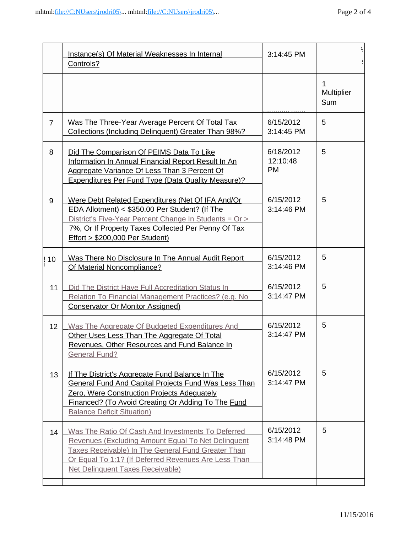|                | Instance(s) Of Material Weaknesses In Internal<br>Controls?                                                                                                                                                                                                             | 3:14:45 PM                         |                        |
|----------------|-------------------------------------------------------------------------------------------------------------------------------------------------------------------------------------------------------------------------------------------------------------------------|------------------------------------|------------------------|
|                |                                                                                                                                                                                                                                                                         |                                    | 1<br>Multiplier<br>Sum |
| $\overline{7}$ | Was The Three-Year Average Percent Of Total Tax<br>Collections (Including Delinguent) Greater Than 98%?                                                                                                                                                                 | 6/15/2012<br>3:14:45 PM            | 5                      |
| 8              | Did The Comparison Of PEIMS Data To Like<br>Information In Annual Financial Report Result In An<br>Aggregate Variance Of Less Than 3 Percent Of<br><b>Expenditures Per Fund Type (Data Quality Measure)?</b>                                                            | 6/18/2012<br>12:10:48<br><b>PM</b> | 5                      |
| 9              | Were Debt Related Expenditures (Net Of IFA And/Or<br>EDA Allotment) < \$350.00 Per Student? (If The<br>District's Five-Year Percent Change In Students = Or ><br>7%, Or If Property Taxes Collected Per Penny Of Tax<br><b>Effort &gt; \$200,000 Per Student)</b>       | 6/15/2012<br>3:14:46 PM            | 5                      |
| 10             | Was There No Disclosure In The Annual Audit Report<br>Of Material Noncompliance?                                                                                                                                                                                        | 6/15/2012<br>3:14:46 PM            | 5                      |
| 11             | Did The District Have Full Accreditation Status In<br>Relation To Financial Management Practices? (e.g. No<br><b>Conservator Or Monitor Assigned)</b>                                                                                                                   | 6/15/2012<br>3:14:47 PM            | 5                      |
| 12             | Was The Aggregate Of Budgeted Expenditures And<br>Other Uses Less Than The Aggregate Of Total<br>Revenues, Other Resources and Fund Balance In<br><b>General Fund?</b>                                                                                                  | 6/15/2012<br>3:14:47 PM            | 5                      |
| 13             | If The District's Aggregate Fund Balance In The<br><b>General Fund And Capital Projects Fund Was Less Than</b><br>Zero, Were Construction Projects Adequately<br>Financed? (To Avoid Creating Or Adding To The Fund<br><b>Balance Deficit Situation)</b>                | 6/15/2012<br>3:14:47 PM            | 5                      |
| 14             | Was The Ratio Of Cash And Investments To Deferred<br>Revenues (Excluding Amount Equal To Net Delinguent<br><b>Taxes Receivable) In The General Fund Greater Than</b><br>Or Equal To 1:1? (If Deferred Revenues Are Less Than<br><b>Net Delinquent Taxes Receivable)</b> | 6/15/2012<br>3:14:48 PM            | 5                      |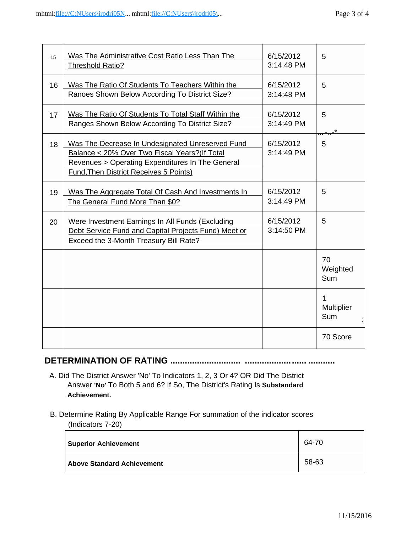| 15 | Was The Administrative Cost Ratio Less Than The<br><b>Threshold Ratio?</b>                                                                                                                              | 6/15/2012<br>3:14:48 PM | 5                             |
|----|---------------------------------------------------------------------------------------------------------------------------------------------------------------------------------------------------------|-------------------------|-------------------------------|
| 16 | Was The Ratio Of Students To Teachers Within the<br>Ranoes Shown Below According To District Size?                                                                                                      | 6/15/2012<br>3:14:48 PM | 5                             |
| 17 | Was The Ratio Of Students To Total Staff Within the<br>Ranges Shown Below According To District Size?                                                                                                   | 6/15/2012<br>3:14:49 PM | 5                             |
| 18 | Was The Decrease In Undesignated Unreserved Fund<br>Balance < 20% Over Two Fiscal Years? (If Total<br>Revenues > Operating Expenditures In The General<br><b>Fund, Then District Receives 5 Points)</b> | 6/15/2012<br>3:14:49 PM | 5                             |
| 19 | Was The Aggregate Total Of Cash And Investments In<br>The General Fund More Than \$0?                                                                                                                   | 6/15/2012<br>3:14:49 PM | 5                             |
| 20 | Were Investment Earnings In All Funds (Excluding<br>Debt Service Fund and Capital Projects Fund) Meet or<br><b>Exceed the 3-Month Treasury Bill Rate?</b>                                               | 6/15/2012<br>3:14:50 PM | 5                             |
|    |                                                                                                                                                                                                         |                         | 70<br>Weighted<br>Sum         |
|    |                                                                                                                                                                                                         |                         | 1<br>Multiplier<br><b>Sum</b> |
|    |                                                                                                                                                                                                         |                         | 70 Score                      |

# **DETERMINATION OF RATING ............................. ......................... ...........**

- A. Did The District Answer 'No' To Indicators 1, 2, 3 Or 4? OR Did The District Answer **'No'** To Both 5 and 6? If So, The District's Rating Is **Substandard Achievement.**
- B. Determine Rating By Applicable Range For summation of the indicator scores (Indicators 7-20)

| <b>Superior Achievement</b>       | 64-70 |
|-----------------------------------|-------|
| <b>Above Standard Achievement</b> | 58-63 |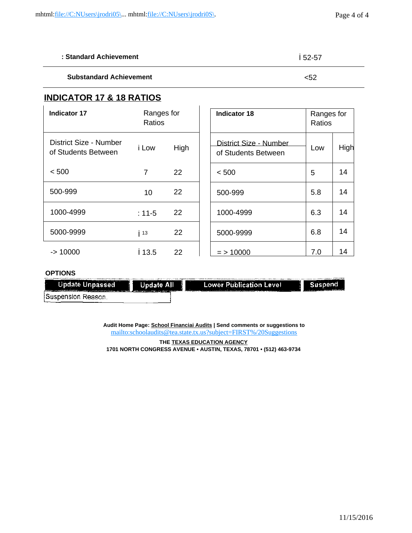| : Standard Achievement         | 52-57 |
|--------------------------------|-------|
| <b>Substandard Achievement</b> | <52   |

## **INDICATOR 17 & 18 RATIOS**

| <b>Indicator 17</b>                           | Ranges for<br>Ratios |      | <b>Indicator 18</b>                           | Ranges for<br>Ratios |      |
|-----------------------------------------------|----------------------|------|-----------------------------------------------|----------------------|------|
| District Size - Number<br>of Students Between | i Low                | High | District Size - Number<br>of Students Between | Low                  | High |
| < 500                                         | 7                    | 22   | < 500                                         | 5                    | 14   |
| 500-999                                       | 10                   | 22   | 500-999                                       | 5.8                  | 14   |
| 1000-4999                                     | $: 11 - 5$           | 22   | 1000-4999                                     | 6.3                  | 14   |
| 5000-9999                                     | 13                   | 22   | 5000-9999                                     | 6.8                  | 14   |
| $-$ 10000                                     | 13.5                 | 22   | $=$ > 10000                                   | 7.0                  | 14   |

### **OPTIONS**

| -------                                                                                                                                                                                                                              |                                                                                                                                                                                                                               |                                                                                                                                                                                                                               |                                                                         |
|--------------------------------------------------------------------------------------------------------------------------------------------------------------------------------------------------------------------------------------|-------------------------------------------------------------------------------------------------------------------------------------------------------------------------------------------------------------------------------|-------------------------------------------------------------------------------------------------------------------------------------------------------------------------------------------------------------------------------|-------------------------------------------------------------------------|
|                                                                                                                                                                                                                                      |                                                                                                                                                                                                                               |                                                                                                                                                                                                                               | <b></b>                                                                 |
| <b>Update Unpassed</b>                                                                                                                                                                                                               | <b>Update All</b>                                                                                                                                                                                                             | _________<br><b>Lower Publication Level</b>                                                                                                                                                                                   |                                                                         |
| <u>Production and the completion of the completion of the completion of the completion of the completion of the completion of the completion of the completion of the completion of the completion of the completion of the comp</u> | The company of the company of the company of the company of the company of the company of the company of the company of the company of the company of the company of the company of the company of the company of the company | and all the control of the control of the control of the control of the control of the control of the control of the control of the control of the control of the control of the control of the control of the control of the | <b>The Committee of the Committee of the Committee of the Committee</b> |
| Suspension Reason.                                                                                                                                                                                                                   |                                                                                                                                                                                                                               |                                                                                                                                                                                                                               |                                                                         |
|                                                                                                                                                                                                                                      |                                                                                                                                                                                                                               |                                                                                                                                                                                                                               |                                                                         |

**Audit Home Page: School Financiai Audits | Send comments or suggestions to** [mailto:schoolaudits@tea.state.tx.us?subject=FIRST%/20Suggestions](mailto:schoolaudits@tea.state.tx.us?subject=FIRST%2525/20Suggestions)

**THE TEXAS EDUCATION AGENCY 1701 NORTH CONGRESS AVENUE • AUSTIN, TEXAS, 78701 • (512) 463-9734**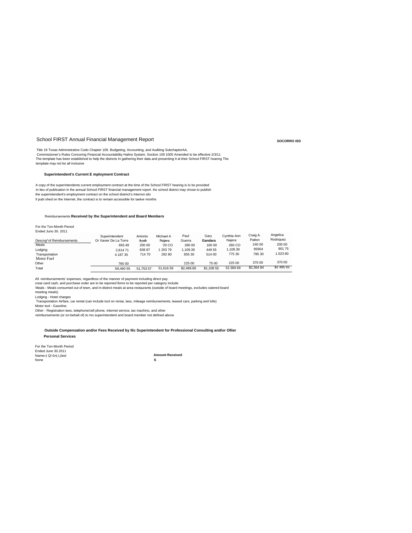#### School FIRST Annual Financial Management Report

Title 19 Toxas Administrative Codo Chapter 109. Budgeting, Accounting, and Auditing SubchaptorAA,<br>Commissloner's Rules Concoring Financial Accountability Halino System. Soction 109 1005 Amended Io be effective 2/3/11<br>The t template may nol bo all inclusive

#### **Superintendent's Current E mployment Contract**

A copy of the superintendents current employment contract at the time of the School FIRST hearing is Io bo provided In lieu of publication in Ihe annual School FIRST financial management roporl. iho school district may chose to publish<br>the superintendent's employment contract on the school distnict's Internoi silo Il pubi shed on the Internet, the contract is to remain accessible for taelve months

#### Reimbursements **Received by the Superintendent and Board Members**

For tho Ton-Month Penod Ended Juno 30. 2011

|                          | Superintendent        | Antonio   | Michael A | Paul       | Garv       | Cynthia Ann | Craig A.   | Angelica   |
|--------------------------|-----------------------|-----------|-----------|------------|------------|-------------|------------|------------|
| Descng^of Reimbursements | Or Xavier De La Torre | Avub      | Naiera    | Guerra     | Gandara    | Naiera      | Patton     | Rodriguez  |
| Meals                    | 693.49                | 200 00    | '20 CO    | 280 00     | 160 00     | 260 CO      | 240 00     | 200 00     |
| Lodging                  | 2.81471               | 83887     | 20379     | 1.109.39   | 449 55     | 1.109.39    | 95954      | 90175      |
| Transportation           | 4.18735               | 71470     | 292 80    | 855 30     | 514 00     | 775 30      | 795 30     | 1.02380    |
| Motor Fuel               |                       |           |           |            |            |             |            |            |
| Other                    | 765 00                |           |           | 225 00     | 75 00      | 225 00      | 370 00     | 370 00     |
| Total                    | S8.460 55             | 51.753 57 | 51.616.59 | \$2,469.69 | \$1,108 55 | 52.389 69   | \$2,364 84 | \$2 495 55 |

All -reimbursements' expenses, regardloss of the manner of payment including direct pay.<br>creai card cash, and purchase order are to be reponed lloms to be reported per category include<br>Meals - Meals consumed out of town, a

meeting meals)

Lodging - Hotel charges

Transportation Airfare, car rental (can include tool on reniai, lass, mileage reimbursements, leased cars, parking and lolls)

Motor tool - Gasoline.

Other - Registration tees, telephone/cell phone, internet service, tax machino, and other

reimbursements (or on-behalt of) to mo superintendent and board member not defined above

**Outside Compensation and/or Fees Received by Ilic Superintendent for Professional Consulting and/or Ollier Personal Services**

For the Ton-Month Period Ended June 30.2011 Name») QI £n(.t,(iesl None

**Amount Received S**

**SOCORRO ISD**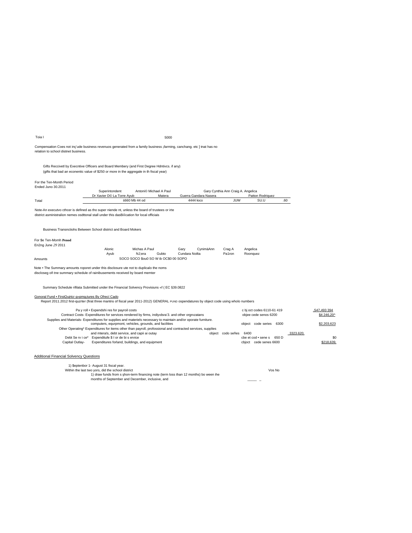| Toia I                                                                                                                                                                                              |                                                                                                                                                 |                                       | 5000   |                |                                    |                                    |                                                     |     |           |                            |
|-----------------------------------------------------------------------------------------------------------------------------------------------------------------------------------------------------|-------------------------------------------------------------------------------------------------------------------------------------------------|---------------------------------------|--------|----------------|------------------------------------|------------------------------------|-----------------------------------------------------|-----|-----------|----------------------------|
| Compensation Coes not inc'ude business revenuos generated from a family business ¡farming, canchang. etc ] tnat has no<br>relation to school distnet business.                                      |                                                                                                                                                 |                                       |        |                |                                    |                                    |                                                     |     |           |                            |
| Gifts Reccivetl by Execntive Officers and Board Membery (and First Degree Hdntivcs. if any)<br>(gifts that bad an econentic value of \$250 or more in the aggregale in th fiscal year)              |                                                                                                                                                 |                                       |        |                |                                    |                                    |                                                     |     |           |                            |
| For the Ten-Month Period<br>Ended Juno 30.2011                                                                                                                                                      |                                                                                                                                                 |                                       |        |                |                                    |                                    |                                                     |     |           |                            |
|                                                                                                                                                                                                     | Superintondent                                                                                                                                  | Antoni <sup>©</sup> Michael A Paul    |        |                |                                    | Gary Cynthia Ann Craig A. Angelica |                                                     |     |           |                            |
|                                                                                                                                                                                                     | Dr Xavier D© La Torre Ayub                                                                                                                      | 660 Mb 44 od                          | Matera |                | Guerra Gandara Nasera<br>4444 łoco | JUW                                | Patton Rodriguez<br>SU.U                            | .60 |           |                            |
| Total                                                                                                                                                                                               |                                                                                                                                                 |                                       |        |                |                                    |                                    |                                                     |     |           |                            |
| Note-An executvo cthcer is defined as tho super niende nt, unless the board of trustees or irte<br>district asministralion nemes osdttonal stall under this dasBification for local officiais       |                                                                                                                                                 |                                       |        |                |                                    |                                    |                                                     |     |           |                            |
| Business Transnctiohs Between School district and Board Mokers                                                                                                                                      |                                                                                                                                                 |                                       |        |                |                                    |                                    |                                                     |     |           |                            |
| For \$e Ten-Momh Penod<br>En2ng June 29 2011                                                                                                                                                        |                                                                                                                                                 |                                       |        |                |                                    |                                    |                                                     |     |           |                            |
|                                                                                                                                                                                                     | Alonic                                                                                                                                          | Michas A Paul                         |        | Garv           | CvnimäAnn                          | Crag A                             | Angelica                                            |     |           |                            |
|                                                                                                                                                                                                     | Ayub                                                                                                                                            | NJ:era                                | Gubto  | Cundara Noilta |                                    | Pa1ron                             | Roonquez                                            |     |           |                            |
| Amounts                                                                                                                                                                                             |                                                                                                                                                 | SOCO SOCO \$000 SO W ib OC\$0 00 SOPO |        |                |                                    |                                    |                                                     |     |           |                            |
| Note . The Summary amounts roporet under this disclosure ute not to duplicalo the noms<br>discloseg oñ tne summary schedule of rainibusements received by board memter                              |                                                                                                                                                 |                                       |        |                |                                    |                                    |                                                     |     |           |                            |
| Summary Schedule rifilata Submitted under the Financial Solvency Provisiuns «f (EC §39.0822                                                                                                         |                                                                                                                                                 |                                       |        |                |                                    |                                    |                                                     |     |           |                            |
| Gonoral Fund . FirstQuirtcr g»pmg;tures By Ofrecí Cado<br>Report 2011.2012 first-quzrter (firat three mantns of fiscal year 2011-2012) GENERAL PUND ospendatures by object code using wholo numbers |                                                                                                                                                 |                                       |        |                |                                    |                                    |                                                     |     |           |                            |
|                                                                                                                                                                                                     | Pa y roll . Expendshi res for payroil costs<br>Contract Costs- Expenditures for services rendered by firms, indiyidsra'3. and other orgnizatans |                                       |        |                |                                    |                                    | c bj oct codes 6110-61 419<br>objee cede senos 6200 |     |           | S47.493 394<br>\$4 246.20^ |
| Supplies and Materials- Expenditures for supplies and materiels necessary to maintain and/or oporate furniture.                                                                                     | computers, equrpmont, vehicles, grounds, and facilities                                                                                         |                                       |        |                |                                    |                                    | object code series 6300                             |     |           | \$2,203,623                |
|                                                                                                                                                                                                     | Other Operating* Expenditures for items other than payroll, profossional and contracted services, supplies                                      |                                       |        |                |                                    |                                    |                                                     |     |           |                            |
|                                                                                                                                                                                                     | and mterals, debt service, and capii ai outay<br>Debt Se rv i ce* Expenditufe \$ I or de bi s ervice                                            |                                       |        |                |                                    | object codo señes                  | 6400<br>cbe et cod · sene s 650 D                   |     | 3323.620. | \$0                        |
| Capital Outlay-                                                                                                                                                                                     | Expenditures forland, buildings, and equipment                                                                                                  |                                       |        |                |                                    |                                    | cbjoct cede senes 6600                              |     |           | \$218,639                  |
| <b>Additional Financial Solvency Questions</b>                                                                                                                                                      |                                                                                                                                                 |                                       |        |                |                                    |                                    |                                                     |     |           |                            |
|                                                                                                                                                                                                     | 1) \$eptenbor 1- August 31 fiscal year.                                                                                                         |                                       |        |                |                                    |                                    |                                                     |     |           |                            |

Within the last two yors, did the school district<br>Within the last two yors, did the school district<br>
1) draw funds from s hon-term financing note (term loss than 12 months) bo ween ihe<br>
months of September and December, in Vos No  $\mathbf{r}$